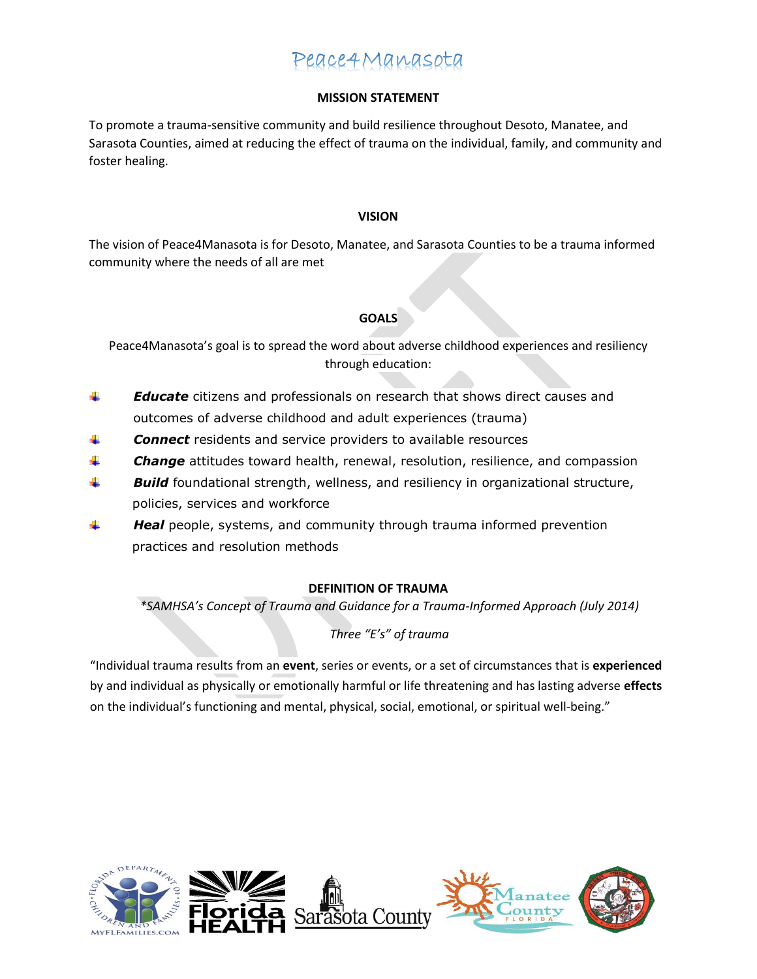#### **MISSION STATEMENT**

To promote a trauma-sensitive community and build resilience throughout Desoto, Manatee, and Sarasota Counties, aimed at reducing the effect of trauma on the individual, family, and community and foster healing.

#### **VISION**

The vision of Peace4Manasota is for Desoto, Manatee, and Sarasota Counties to be a trauma informed community where the needs of all are met

#### **GOALS**

Peace4Manasota's goal is to spread the word about adverse childhood experiences and resiliency through education:

- ₩ *Educate* citizens and professionals on research that shows direct causes and outcomes of adverse childhood and adult experiences (trauma)
- 4 *Connect* residents and service providers to available resources
- *Change* attitudes toward health, renewal, resolution, resilience, and compassion ٠.
- 4. *Build* foundational strength, wellness, and resiliency in organizational structure, policies, services and workforce
- 4 *Heal* people, systems, and community through trauma informed prevention practices and resolution methods

#### **DEFINITION OF TRAUMA**

*\*SAMHSA's Concept of Trauma and Guidance for a Trauma-Informed Approach (July 2014)*

#### *Three "E's" of trauma*

"Individual trauma results from an **event**, series or events, or a set of circumstances that is **experienced**  by and individual as physically or emotionally harmful or life threatening and has lasting adverse **effects**  on the individual's functioning and mental, physical, social, emotional, or spiritual well-being."



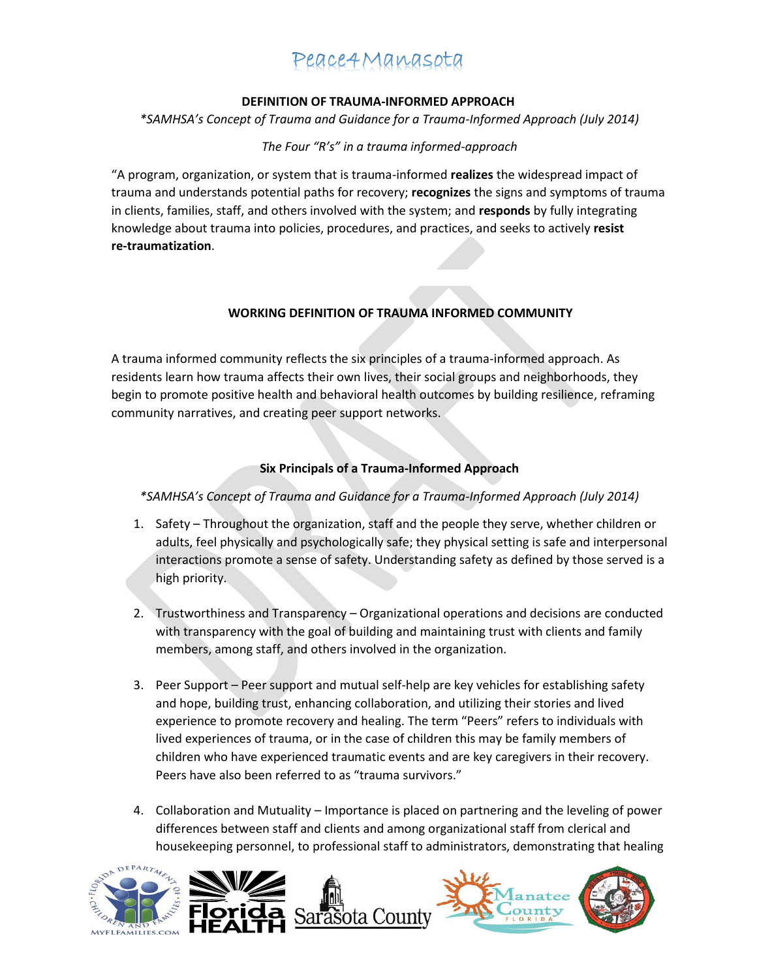#### **DEFINITION OF TRAUMA-INFORMED APPROACH**

*\*SAMHSA's Concept of Trauma and Guidance for a Trauma-Informed Approach (July 2014)*

#### *The Four "R's" in a trauma informed-approach*

"A program, organization, or system that is trauma-informed **realizes** the widespread impact of trauma and understands potential paths for recovery; **recognizes** the signs and symptoms of trauma in clients, families, staff, and others involved with the system; and **responds** by fully integrating knowledge about trauma into policies, procedures, and practices, and seeks to actively **resist re-traumatization**.

#### **WORKING DEFINITION OF TRAUMA INFORMED COMMUNITY**

A trauma informed community reflects the six principles of a trauma-informed approach. As residents learn how trauma affects their own lives, their social groups and neighborhoods, they begin to promote positive health and behavioral health outcomes by building resilience, reframing community narratives, and creating peer support networks.

#### **Six Principals of a Trauma-Informed Approach**

#### *\*SAMHSA's Concept of Trauma and Guidance for a Trauma-Informed Approach (July 2014)*

- 1. Safety Throughout the organization, staff and the people they serve, whether children or adults, feel physically and psychologically safe; they physical setting is safe and interpersonal interactions promote a sense of safety. Understanding safety as defined by those served is a high priority.
- 2. Trustworthiness and Transparency Organizational operations and decisions are conducted with transparency with the goal of building and maintaining trust with clients and family members, among staff, and others involved in the organization.
- 3. Peer Support Peer support and mutual self-help are key vehicles for establishing safety and hope, building trust, enhancing collaboration, and utilizing their stories and lived experience to promote recovery and healing. The term "Peers" refers to individuals with lived experiences of trauma, or in the case of children this may be family members of children who have experienced traumatic events and are key caregivers in their recovery. Peers have also been referred to as "trauma survivors."
- 4. Collaboration and Mutuality Importance is placed on partnering and the leveling of power differences between staff and clients and among organizational staff from clerical and housekeeping personnel, to professional staff to administrators, demonstrating that healing





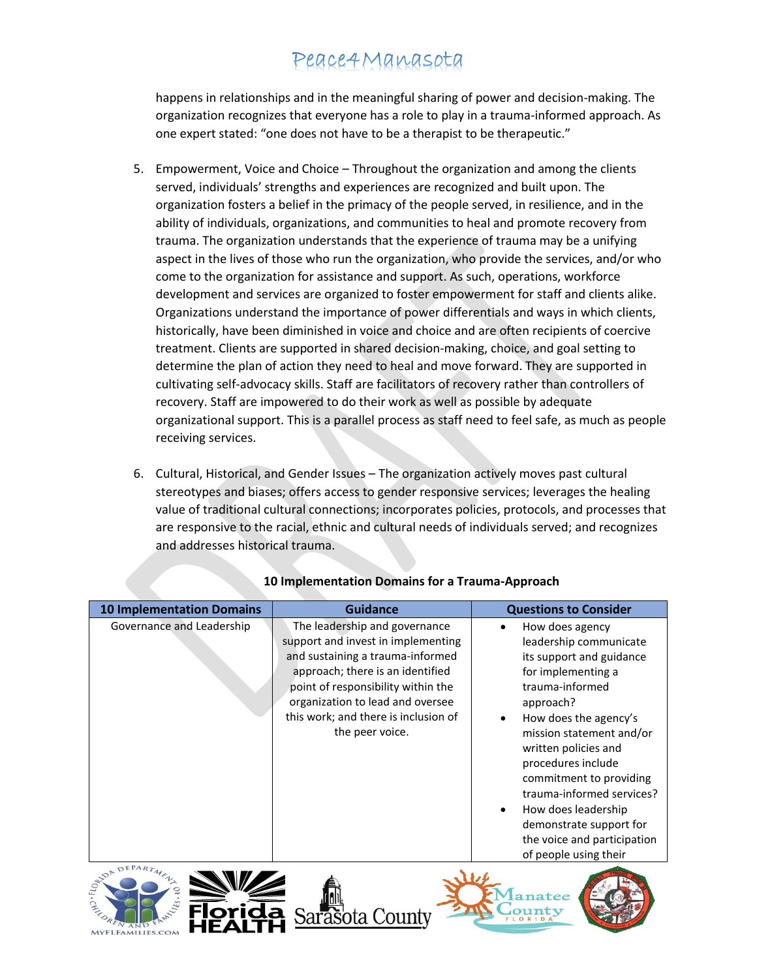happens in relationships and in the meaningful sharing of power and decision-making. The organization recognizes that everyone has a role to play in a trauma-informed approach. As one expert stated: "one does not have to be a therapist to be therapeutic."

- 5. Empowerment, Voice and Choice Throughout the organization and among the clients served, individuals' strengths and experiences are recognized and built upon. The organization fosters a belief in the primacy of the people served, in resilience, and in the ability of individuals, organizations, and communities to heal and promote recovery from trauma. The organization understands that the experience of trauma may be a unifying aspect in the lives of those who run the organization, who provide the services, and/or who come to the organization for assistance and support. As such, operations, workforce development and services are organized to foster empowerment for staff and clients alike. Organizations understand the importance of power differentials and ways in which clients, historically, have been diminished in voice and choice and are often recipients of coercive treatment. Clients are supported in shared decision-making, choice, and goal setting to determine the plan of action they need to heal and move forward. They are supported in cultivating self-advocacy skills. Staff are facilitators of recovery rather than controllers of recovery. Staff are impowered to do their work as well as possible by adequate organizational support. This is a parallel process as staff need to feel safe, as much as people receiving services.
- 6. Cultural, Historical, and Gender Issues The organization actively moves past cultural stereotypes and biases; offers access to gender responsive services; leverages the healing value of traditional cultural connections; incorporates policies, protocols, and processes that are responsive to the racial, ethnic and cultural needs of individuals served; and recognizes and addresses historical trauma.

| <b>10 Implementation Domains</b> | Guidance                                                                                                                                                                                                                                                                         | <b>Questions to Consider</b>                                                                                                                                                                                                                                                                                                                                                                     |
|----------------------------------|----------------------------------------------------------------------------------------------------------------------------------------------------------------------------------------------------------------------------------------------------------------------------------|--------------------------------------------------------------------------------------------------------------------------------------------------------------------------------------------------------------------------------------------------------------------------------------------------------------------------------------------------------------------------------------------------|
| Governance and Leadership        | The leadership and governance<br>support and invest in implementing<br>and sustaining a trauma-informed<br>approach; there is an identified<br>point of responsibility within the<br>organization to lead and oversee<br>this work; and there is inclusion of<br>the peer voice. | How does agency<br>leadership communicate<br>its support and guidance<br>for implementing a<br>trauma-informed<br>approach?<br>How does the agency's<br>mission statement and/or<br>written policies and<br>procedures include<br>commitment to providing<br>trauma-informed services?<br>How does leadership<br>demonstrate support for<br>the voice and participation<br>of people using their |
| AIDA                             |                                                                                                                                                                                                                                                                                  |                                                                                                                                                                                                                                                                                                                                                                                                  |

### **10 Implementation Domains for a Trauma-Approach**



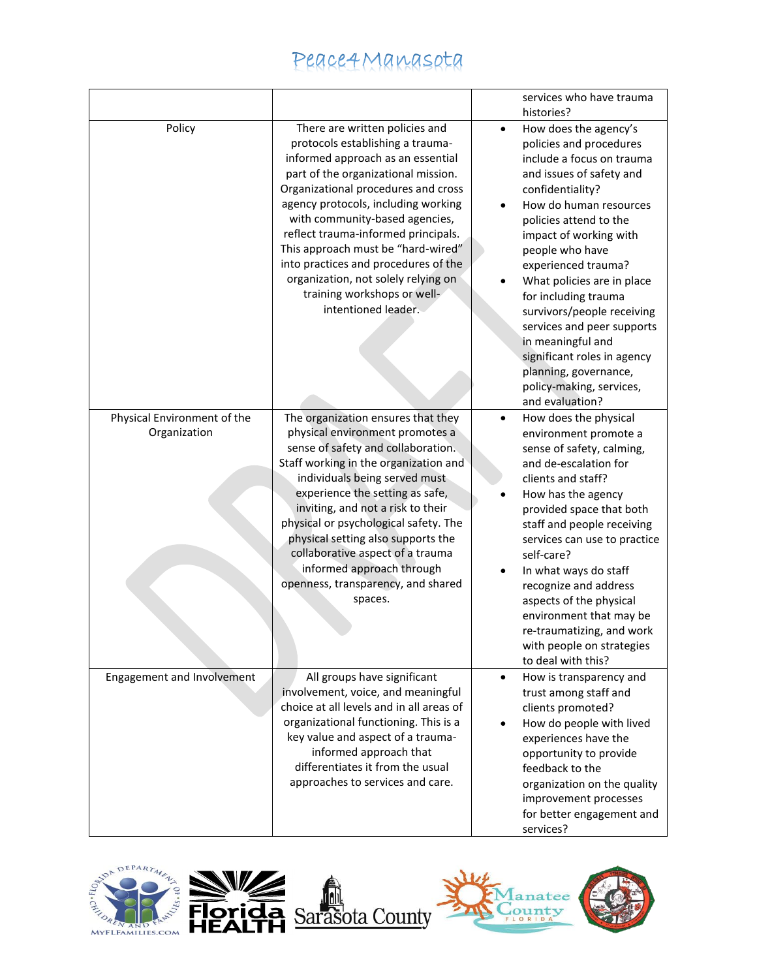|                                             |                                                                                                                                                                                                                                                                                                                                                                                                                                                                                  | services who have trauma<br>histories?                                                                                                                                                                                                                                                                                                                                                                                                                                                                                        |
|---------------------------------------------|----------------------------------------------------------------------------------------------------------------------------------------------------------------------------------------------------------------------------------------------------------------------------------------------------------------------------------------------------------------------------------------------------------------------------------------------------------------------------------|-------------------------------------------------------------------------------------------------------------------------------------------------------------------------------------------------------------------------------------------------------------------------------------------------------------------------------------------------------------------------------------------------------------------------------------------------------------------------------------------------------------------------------|
| Policy                                      | There are written policies and<br>protocols establishing a trauma-<br>informed approach as an essential<br>part of the organizational mission.<br>Organizational procedures and cross<br>agency protocols, including working<br>with community-based agencies,<br>reflect trauma-informed principals.<br>This approach must be "hard-wired"<br>into practices and procedures of the<br>organization, not solely relying on<br>training workshops or well-<br>intentioned leader. | How does the agency's<br>$\bullet$<br>policies and procedures<br>include a focus on trauma<br>and issues of safety and<br>confidentiality?<br>How do human resources<br>$\bullet$<br>policies attend to the<br>impact of working with<br>people who have<br>experienced trauma?<br>What policies are in place<br>for including trauma<br>survivors/people receiving<br>services and peer supports<br>in meaningful and<br>significant roles in agency<br>planning, governance,<br>policy-making, services,<br>and evaluation? |
| Physical Environment of the<br>Organization | The organization ensures that they<br>physical environment promotes a<br>sense of safety and collaboration.<br>Staff working in the organization and<br>individuals being served must<br>experience the setting as safe,<br>inviting, and not a risk to their<br>physical or psychological safety. The<br>physical setting also supports the<br>collaborative aspect of a trauma<br>informed approach through<br>openness, transparency, and shared<br>spaces.                   | How does the physical<br>$\bullet$<br>environment promote a<br>sense of safety, calming,<br>and de-escalation for<br>clients and staff?<br>How has the agency<br>provided space that both<br>staff and people receiving<br>services can use to practice<br>self-care?<br>In what ways do staff<br>٠<br>recognize and address<br>aspects of the physical<br>environment that may be<br>re-traumatizing, and work<br>with people on strategies<br>to deal with this?                                                            |
| Engagement and Involvement                  | All groups have significant<br>involvement, voice, and meaningful<br>choice at all levels and in all areas of<br>organizational functioning. This is a<br>key value and aspect of a trauma-<br>informed approach that<br>differentiates it from the usual<br>approaches to services and care.                                                                                                                                                                                    | How is transparency and<br>$\bullet$<br>trust among staff and<br>clients promoted?<br>How do people with lived<br>experiences have the<br>opportunity to provide<br>feedback to the<br>organization on the quality<br>improvement processes<br>for better engagement and<br>services?                                                                                                                                                                                                                                         |





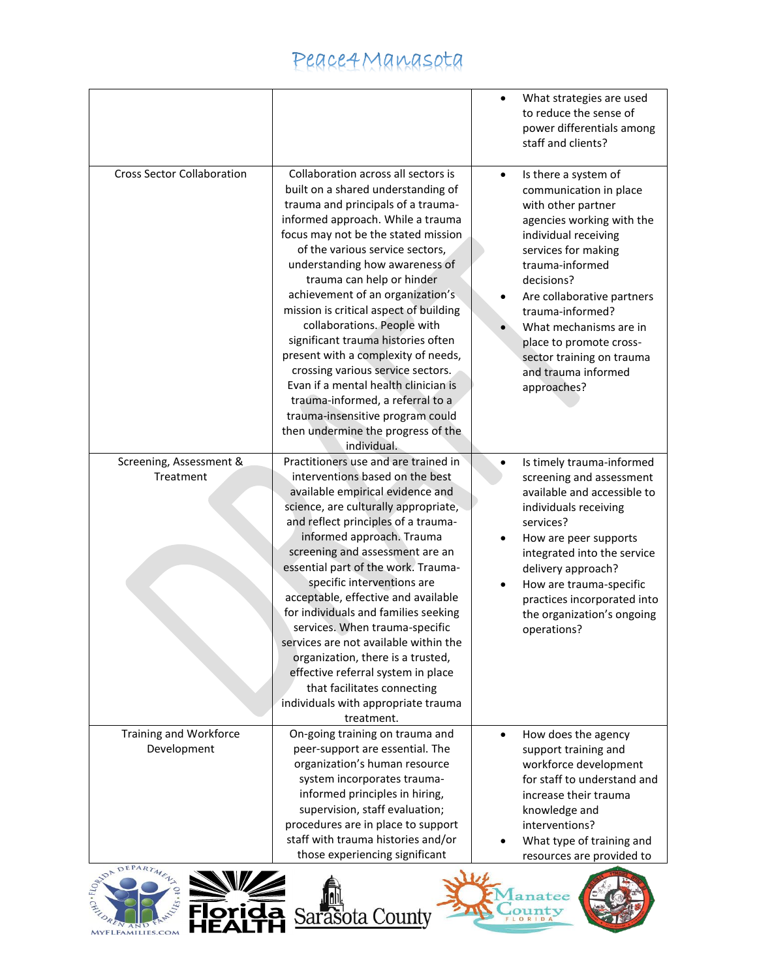|                                                                         |                                                                                                                                                                                                                                                                                                                                                                                                                                                                                                                                                                                                                                                                                                   | $\bullet$ | What strategies are used<br>to reduce the sense of<br>power differentials among<br>staff and clients?                                                                                                                                                                                                                                                       |
|-------------------------------------------------------------------------|---------------------------------------------------------------------------------------------------------------------------------------------------------------------------------------------------------------------------------------------------------------------------------------------------------------------------------------------------------------------------------------------------------------------------------------------------------------------------------------------------------------------------------------------------------------------------------------------------------------------------------------------------------------------------------------------------|-----------|-------------------------------------------------------------------------------------------------------------------------------------------------------------------------------------------------------------------------------------------------------------------------------------------------------------------------------------------------------------|
| <b>Cross Sector Collaboration</b>                                       | Collaboration across all sectors is<br>built on a shared understanding of<br>trauma and principals of a trauma-<br>informed approach. While a trauma<br>focus may not be the stated mission<br>of the various service sectors,<br>understanding how awareness of<br>trauma can help or hinder<br>achievement of an organization's<br>mission is critical aspect of building<br>collaborations. People with<br>significant trauma histories often<br>present with a complexity of needs,<br>crossing various service sectors.<br>Evan if a mental health clinician is<br>trauma-informed, a referral to a<br>trauma-insensitive program could<br>then undermine the progress of the<br>individual. | $\bullet$ | Is there a system of<br>communication in place<br>with other partner<br>agencies working with the<br>individual receiving<br>services for making<br>trauma-informed<br>decisions?<br>Are collaborative partners<br>trauma-informed?<br>What mechanisms are in<br>place to promote cross-<br>sector training on trauma<br>and trauma informed<br>approaches? |
| Screening, Assessment &<br>Treatment                                    | Practitioners use and are trained in<br>interventions based on the best<br>available empirical evidence and<br>science, are culturally appropriate,<br>and reflect principles of a trauma-<br>informed approach. Trauma<br>screening and assessment are an<br>essential part of the work. Trauma-<br>specific interventions are<br>acceptable, effective and available<br>for individuals and families seeking<br>services. When trauma-specific<br>services are not available within the<br>organization, there is a trusted,<br>effective referral system in place<br>that facilitates connecting<br>individuals with appropriate trauma<br>treatment.                                          | $\bullet$ | Is timely trauma-informed<br>screening and assessment<br>available and accessible to<br>individuals receiving<br>services?<br>How are peer supports<br>integrated into the service<br>delivery approach?<br>How are trauma-specific<br>practices incorporated into<br>the organization's ongoing<br>operations?                                             |
| Training and Workforce<br>Development<br>DA DEPARTMENT<br><b>SANIZA</b> | On-going training on trauma and<br>peer-support are essential. The<br>organization's human resource<br>system incorporates trauma-<br>informed principles in hiring,<br>supervision, staff evaluation;<br>procedures are in place to support<br>staff with trauma histories and/or<br>those experiencing significant<br>114                                                                                                                                                                                                                                                                                                                                                                       | $\bullet$ | How does the agency<br>support training and<br>workforce development<br>for staff to understand and<br>increase their trauma<br>knowledge and<br>interventions?<br>What type of training and<br>resources are provided to                                                                                                                                   |







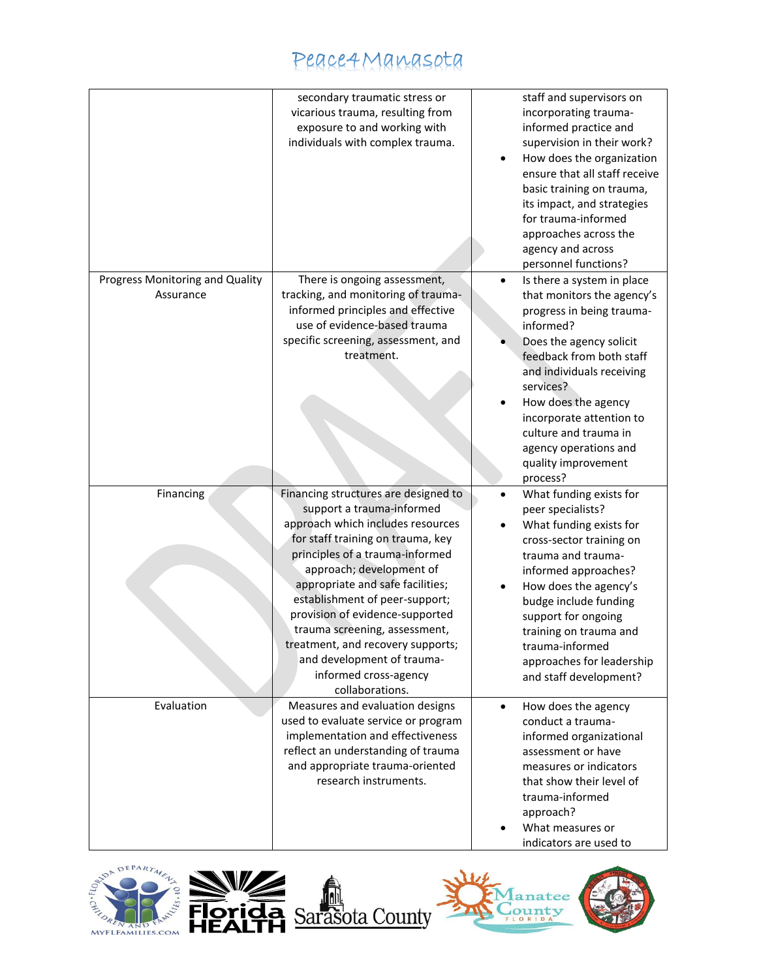|                                              | secondary traumatic stress or<br>vicarious trauma, resulting from<br>exposure to and working with<br>individuals with complex trauma.                                                                                                                                                                                                                                                                                                                               | staff and supervisors on<br>incorporating trauma-<br>informed practice and<br>supervision in their work?<br>How does the organization<br>$\bullet$<br>ensure that all staff receive<br>basic training on trauma,<br>its impact, and strategies<br>for trauma-informed<br>approaches across the<br>agency and across<br>personnel functions?              |
|----------------------------------------------|---------------------------------------------------------------------------------------------------------------------------------------------------------------------------------------------------------------------------------------------------------------------------------------------------------------------------------------------------------------------------------------------------------------------------------------------------------------------|----------------------------------------------------------------------------------------------------------------------------------------------------------------------------------------------------------------------------------------------------------------------------------------------------------------------------------------------------------|
| Progress Monitoring and Quality<br>Assurance | There is ongoing assessment,<br>tracking, and monitoring of trauma-<br>informed principles and effective<br>use of evidence-based trauma<br>specific screening, assessment, and<br>treatment.                                                                                                                                                                                                                                                                       | Is there a system in place<br>$\bullet$<br>that monitors the agency's<br>progress in being trauma-<br>informed?<br>Does the agency solicit<br>feedback from both staff<br>and individuals receiving<br>services?<br>How does the agency<br>incorporate attention to<br>culture and trauma in<br>agency operations and<br>quality improvement<br>process? |
| Financing                                    | Financing structures are designed to<br>support a trauma-informed<br>approach which includes resources<br>for staff training on trauma, key<br>principles of a trauma-informed<br>approach; development of<br>appropriate and safe facilities;<br>establishment of peer-support;<br>provision of evidence-supported<br>trauma screening, assessment,<br>treatment, and recovery supports;<br>and development of trauma-<br>informed cross-agency<br>collaborations. | What funding exists for<br>$\bullet$<br>peer specialists?<br>What funding exists for<br>cross-sector training on<br>trauma and trauma-<br>informed approaches?<br>How does the agency's<br>budge include funding<br>support for ongoing<br>training on trauma and<br>trauma-informed<br>approaches for leadership<br>and staff development?              |
| Evaluation                                   | Measures and evaluation designs<br>used to evaluate service or program<br>implementation and effectiveness<br>reflect an understanding of trauma<br>and appropriate trauma-oriented<br>research instruments.                                                                                                                                                                                                                                                        | How does the agency<br>$\bullet$<br>conduct a trauma-<br>informed organizational<br>assessment or have<br>measures or indicators<br>that show their level of<br>trauma-informed<br>approach?<br>What measures or<br>indicators are used to                                                                                                               |





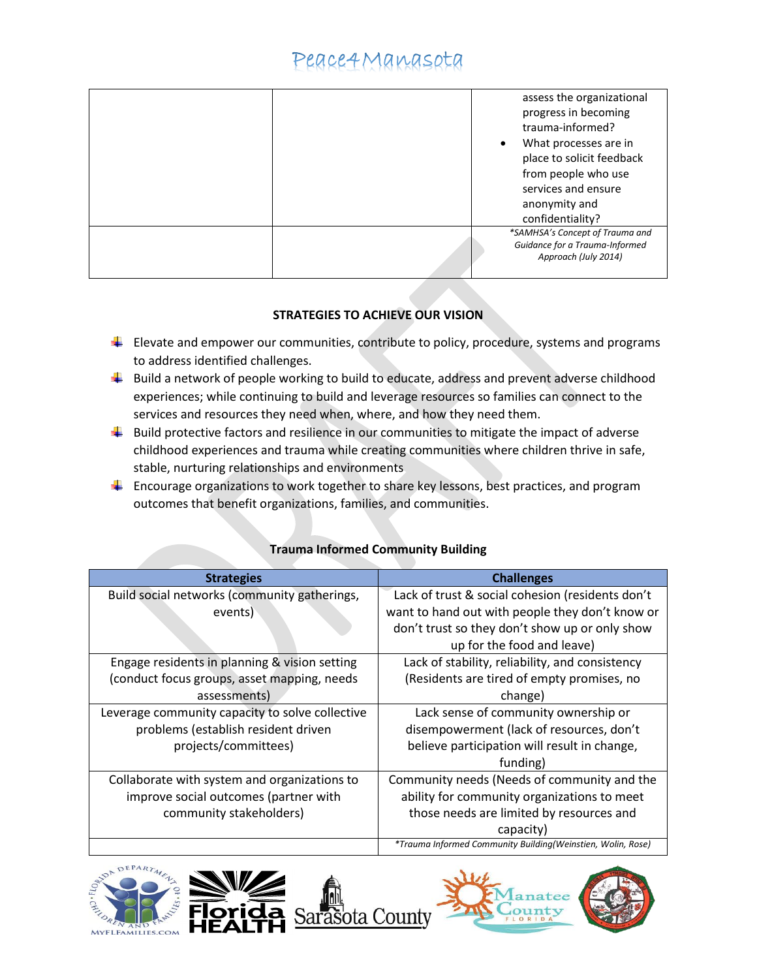|  | assess the organizational<br>progress in becoming<br>trauma-informed?<br>What processes are in<br>$\bullet$ |
|--|-------------------------------------------------------------------------------------------------------------|
|  | place to solicit feedback                                                                                   |
|  |                                                                                                             |
|  | from people who use                                                                                         |
|  | services and ensure                                                                                         |
|  | anonymity and                                                                                               |
|  | confidentiality?                                                                                            |
|  | *SAMHSA's Concept of Trauma and                                                                             |
|  | Guidance for a Trauma-Informed<br>Approach (July 2014)                                                      |
|  |                                                                                                             |

### **STRATEGIES TO ACHIEVE OUR VISION**

- $\downarrow$  Elevate and empower our communities, contribute to policy, procedure, systems and programs to address identified challenges.
- $\downarrow$  Build a network of people working to build to educate, address and prevent adverse childhood experiences; while continuing to build and leverage resources so families can connect to the services and resources they need when, where, and how they need them.
- $\downarrow$  Build protective factors and resilience in our communities to mitigate the impact of adverse childhood experiences and trauma while creating communities where children thrive in safe, stable, nurturing relationships and environments
- $\ddot{\phantom{1}}$  Encourage organizations to work together to share key lessons, best practices, and program outcomes that benefit organizations, families, and communities.

| <b>Strategies</b>                               | <b>Challenges</b>                                           |
|-------------------------------------------------|-------------------------------------------------------------|
| Build social networks (community gatherings,    | Lack of trust & social cohesion (residents don't            |
| events)                                         | want to hand out with people they don't know or             |
|                                                 | don't trust so they don't show up or only show              |
|                                                 | up for the food and leave)                                  |
| Engage residents in planning & vision setting   | Lack of stability, reliability, and consistency             |
| (conduct focus groups, asset mapping, needs     | (Residents are tired of empty promises, no                  |
| assessments)                                    | change)                                                     |
| Leverage community capacity to solve collective | Lack sense of community ownership or                        |
| problems (establish resident driven             | disempowerment (lack of resources, don't                    |
| projects/committees)                            | believe participation will result in change,                |
|                                                 | funding)                                                    |
| Collaborate with system and organizations to    | Community needs (Needs of community and the                 |
| improve social outcomes (partner with           | ability for community organizations to meet                 |
| community stakeholders)                         | those needs are limited by resources and                    |
|                                                 | capacity)                                                   |
|                                                 | *Trauma Informed Community Building(Weinstien, Wolin, Rose) |

### **Trauma Informed Community Building**